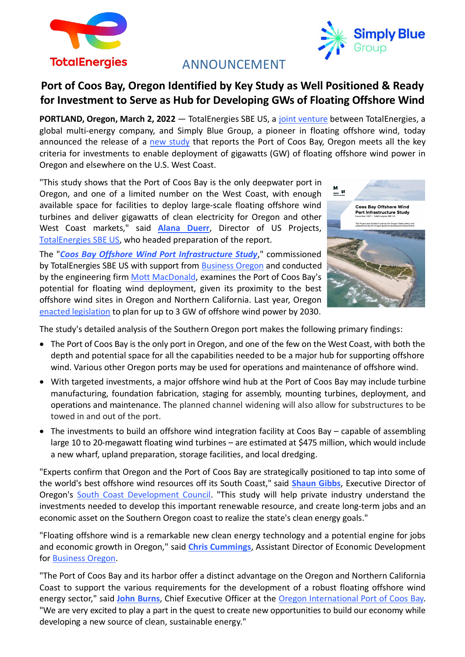



# ANNOUNCEMENT

# **Port of Coos Bay, Oregon Identified by Key Study as Well Positioned & Ready for Investment to Serve as Hub for Developing GWs of Floating Offshore Wind**

**PORTLAND, Oregon, March 2, 2022** — TotalEnergies SBE US, a [joint venture](https://www.prnewswire.com/news-releases/floating-offshore-wind-united-states-totalenergies-and-simply-blue-group-launch-totalenergies-sbe-us-joint-venture-301398972.html) between TotalEnergies, a global multi-energy company, and Simply Blue Group, a pioneer in floating offshore wind, today announced the release of a [new study](https://simplybluegroup.com/wp-content/uploads/2022/03/Coos-Bay-Offshore-Port-Infrastructure-Study-Final-Technical-Report.pdf) that reports the Port of Coos Bay, Oregon meets all the key criteria for investments to enable deployment of gigawatts (GW) of floating offshore wind power in Oregon and elsewhere on the U.S. West Coast.

"This study shows that the Port of Coos Bay is the only deepwater port in Oregon, and one of a limited number on the West Coast, with enough available space for facilities to deploy large-scale floating offshore wind turbines and deliver gigawatts of clean electricity for Oregon and other West Coast markets," said **[Alana Duerr](https://simplybluegroup.com/tesbeus-team/alana-duerr/)**, Director of US Projects, [TotalEnergies SBE US,](https://simplybluegroup.com/totalenergies-sbe-us/about/) who headed preparation of the report.

The "*Coos Bay Offshore [Wind Port Infrastructure Study](https://simplybluegroup.com/wp-content/uploads/2022/03/Coos-Bay-Offshore-Port-Infrastructure-Study-Final-Technical-Report.pdf)*," commissioned by TotalEnergies SBE US with support from [Business Oregon](https://www.oregon.gov/biz/Pages/default.aspx) and conducted by the engineering fir[m Mott MacDonald,](https://www.mottmac.com/) examines the Port of Coos Bay's potential for floating wind deployment, given its proximity to the best offshore wind sites in Oregon and Northern California. Last year, Oregon [enacted legislation](https://www.utilitydive.com/news/can-west-coast-states-help-achieve-30-gw-of-offshore-wind-by-2030/602415/) to plan for up to 3 GW of offshore wind power by 2030.



The study's detailed analysis of the Southern Oregon port makes the following primary findings:

- The Port of Coos Bay is the only port in Oregon, and one of the few on the West Coast, with both the depth and potential space for all the capabilities needed to be a major hub for supporting offshore wind. Various other Oregon ports may be used for operations and maintenance of offshore wind.
- With targeted investments, a major offshore wind hub at the Port of Coos Bay may include turbine manufacturing, foundation fabrication, staging for assembly, mounting turbines, deployment, and operations and maintenance. The planned channel widening will also allow for substructures to be towed in and out of the port.
- The investments to build an offshore wind integration facility at Coos Bay capable of assembling large 10 to 20-megawatt floating wind turbines – are estimated at \$475 million, which would include a new wharf, upland preparation, storage facilities, and local dredging.

"Experts confirm that Oregon and the Port of Coos Bay are strategically positioned to tap into some of the world's best offshore wind resources off its South Coast," said **[Shaun Gibbs](https://www.scdcinc.org/about)**, Executive Director of Oregon's [South Coast Development Council.](https://www.scdcinc.org/) "This study will help private industry understand the investments needed to develop this important renewable resource, and create long-term jobs and an economic asset on the Southern Oregon coast to realize the state's clean energy goals."

"Floating offshore wind is a remarkable new clean energy technology and a potential engine for jobs and economic growth in Oregon," said **[Chris Cummings](https://www.oregon4biz.com/directory.php?d=1)**, Assistant Director of Economic Development for [Business Oregon.](https://www.oregon.gov/biz/Pages/default.aspx)

"The Port of Coos Bay and its harbor offer a distinct advantage on the Oregon and Northern California Coast to support the various requirements for the development of a robust floating offshore wind energy sector," said **John [Burns](https://www.portofcoosbay.com/john-burns)**, Chief Executive Officer at the [Oregon International Port of Coos Bay.](https://www.portofcoosbay.com/) "We are very excited to play a part in the quest to create new opportunities to build our economy while developing a new source of clean, sustainable energy."